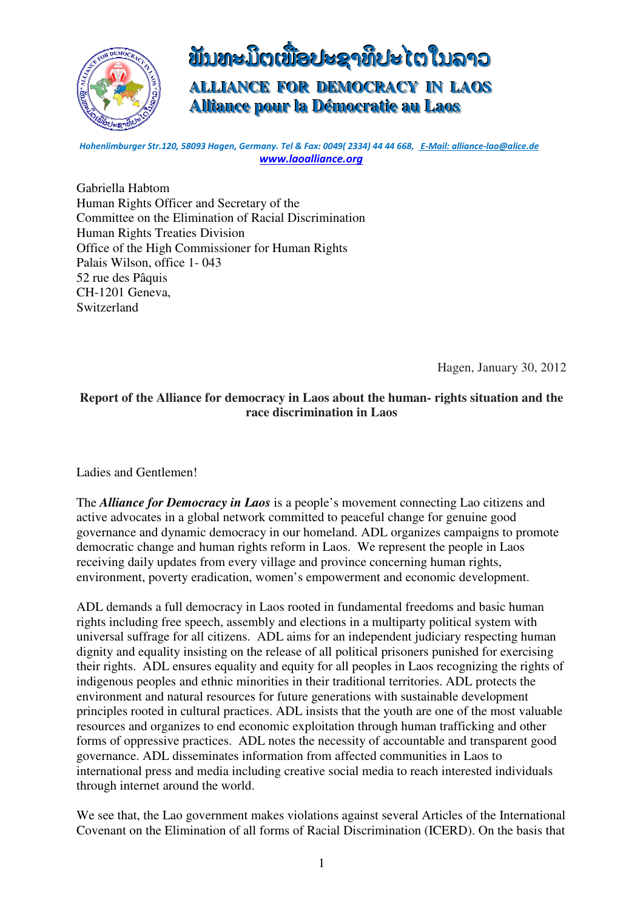

# **์ขั้**บทะมัตเขื่อปะຊາທິປະ ເຕ เ็บลาอ **ALLIANCE FOR DEMOCRACY IN LAOS Alllliiance pour lla Démocratiie au Laos**

*Hohenlimburger Str.120, 58093 Hagen, Germany. Tel & Fax: 0049( 2334) 44 44 668,**E-Mail: alliance-lao@alice.de* *www.laoalliance.org*

Gabriella Habtom Human Rights Officer and Secretary of the Committee on the Elimination of Racial Discrimination Human Rights Treaties Division Office of the High Commissioner for Human Rights Palais Wilson, office 1- 043 52 rue des Pâquis CH-1201 Geneva, **Switzerland** 

Hagen, January 30, 2012

## **Report of the Alliance for democracy in Laos about the human- rights situation and the race discrimination in Laos**

Ladies and Gentlemen!

The *Alliance for Democracy in Laos* is a people's movement connecting Lao citizens and active advocates in a global network committed to peaceful change for genuine good governance and dynamic democracy in our homeland. ADL organizes campaigns to promote democratic change and human rights reform in Laos. We represent the people in Laos receiving daily updates from every village and province concerning human rights, environment, poverty eradication, women's empowerment and economic development.

ADL demands a full democracy in Laos rooted in fundamental freedoms and basic human rights including free speech, assembly and elections in a multiparty political system with universal suffrage for all citizens. ADL aims for an independent judiciary respecting human dignity and equality insisting on the release of all political prisoners punished for exercising their rights. ADL ensures equality and equity for all peoples in Laos recognizing the rights of indigenous peoples and ethnic minorities in their traditional territories. ADL protects the environment and natural resources for future generations with sustainable development principles rooted in cultural practices. ADL insists that the youth are one of the most valuable resources and organizes to end economic exploitation through human trafficking and other forms of oppressive practices. ADL notes the necessity of accountable and transparent good governance. ADL disseminates information from affected communities in Laos to international press and media including creative social media to reach interested individuals through internet around the world.

We see that, the Lao government makes violations against several Articles of the International Covenant on the Elimination of all forms of Racial Discrimination (ICERD). On the basis that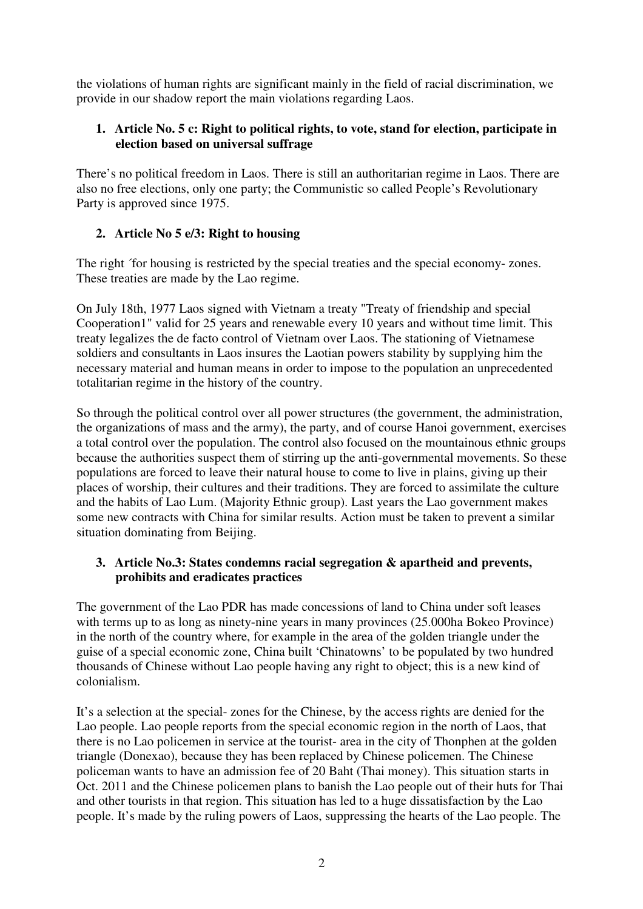the violations of human rights are significant mainly in the field of racial discrimination, we provide in our shadow report the main violations regarding Laos.

# **1. Article No. 5 c: Right to political rights, to vote, stand for election, participate in election based on universal suffrage**

There's no political freedom in Laos. There is still an authoritarian regime in Laos. There are also no free elections, only one party; the Communistic so called People's Revolutionary Party is approved since 1975.

# **2. Article No 5 e/3: Right to housing**

The right ´for housing is restricted by the special treaties and the special economy- zones. These treaties are made by the Lao regime.

On July 18th, 1977 Laos signed with Vietnam a treaty "Treaty of friendship and special Cooperation1" valid for 25 years and renewable every 10 years and without time limit. This treaty legalizes the de facto control of Vietnam over Laos. The stationing of Vietnamese soldiers and consultants in Laos insures the Laotian powers stability by supplying him the necessary material and human means in order to impose to the population an unprecedented totalitarian regime in the history of the country.

So through the political control over all power structures (the government, the administration, the organizations of mass and the army), the party, and of course Hanoi government, exercises a total control over the population. The control also focused on the mountainous ethnic groups because the authorities suspect them of stirring up the anti-governmental movements. So these populations are forced to leave their natural house to come to live in plains, giving up their places of worship, their cultures and their traditions. They are forced to assimilate the culture and the habits of Lao Lum. (Majority Ethnic group). Last years the Lao government makes some new contracts with China for similar results. Action must be taken to prevent a similar situation dominating from Beijing.

## **3. Article No.3: States condemns racial segregation & apartheid and prevents, prohibits and eradicates practices**

The government of the Lao PDR has made concessions of land to China under soft leases with terms up to as long as ninety-nine years in many provinces (25.000ha Bokeo Province) in the north of the country where, for example in the area of the golden triangle under the guise of a special economic zone, China built 'Chinatowns' to be populated by two hundred thousands of Chinese without Lao people having any right to object; this is a new kind of colonialism.

It's a selection at the special- zones for the Chinese, by the access rights are denied for the Lao people. Lao people reports from the special economic region in the north of Laos, that there is no Lao policemen in service at the tourist- area in the city of Thonphen at the golden triangle (Donexao), because they has been replaced by Chinese policemen. The Chinese policeman wants to have an admission fee of 20 Baht (Thai money). This situation starts in Oct. 2011 and the Chinese policemen plans to banish the Lao people out of their huts for Thai and other tourists in that region. This situation has led to a huge dissatisfaction by the Lao people. It's made by the ruling powers of Laos, suppressing the hearts of the Lao people. The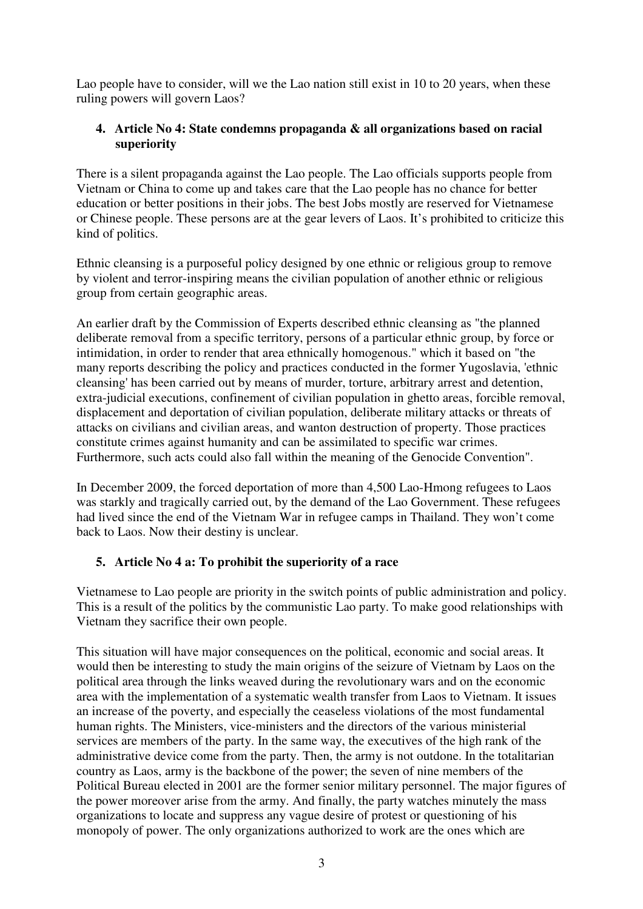Lao people have to consider, will we the Lao nation still exist in 10 to 20 years, when these ruling powers will govern Laos?

# **4. Article No 4: State condemns propaganda & all organizations based on racial superiority**

There is a silent propaganda against the Lao people. The Lao officials supports people from Vietnam or China to come up and takes care that the Lao people has no chance for better education or better positions in their jobs. The best Jobs mostly are reserved for Vietnamese or Chinese people. These persons are at the gear levers of Laos. It's prohibited to criticize this kind of politics.

Ethnic cleansing is a purposeful policy designed by one ethnic or religious group to remove by violent and terror-inspiring means the civilian population of another ethnic or religious group from certain geographic areas.

An earlier draft by the Commission of Experts described ethnic cleansing as "the planned deliberate removal from a specific territory, persons of a particular ethnic group, by force or intimidation, in order to render that area ethnically homogenous." which it based on "the many reports describing the policy and practices conducted in the former Yugoslavia, 'ethnic cleansing' has been carried out by means of murder, torture, arbitrary arrest and detention, extra-judicial executions, confinement of civilian population in ghetto areas, forcible removal, displacement and deportation of civilian population, deliberate military attacks or threats of attacks on civilians and civilian areas, and wanton destruction of property. Those practices constitute crimes against humanity and can be assimilated to specific war crimes. Furthermore, such acts could also fall within the meaning of the Genocide Convention".

In December 2009, the forced deportation of more than 4,500 Lao-Hmong refugees to Laos was starkly and tragically carried out, by the demand of the Lao Government. These refugees had lived since the end of the Vietnam War in refugee camps in Thailand. They won't come back to Laos. Now their destiny is unclear.

# **5. Article No 4 a: To prohibit the superiority of a race**

Vietnamese to Lao people are priority in the switch points of public administration and policy. This is a result of the politics by the communistic Lao party. To make good relationships with Vietnam they sacrifice their own people.

This situation will have major consequences on the political, economic and social areas. It would then be interesting to study the main origins of the seizure of Vietnam by Laos on the political area through the links weaved during the revolutionary wars and on the economic area with the implementation of a systematic wealth transfer from Laos to Vietnam. It issues an increase of the poverty, and especially the ceaseless violations of the most fundamental human rights. The Ministers, vice-ministers and the directors of the various ministerial services are members of the party. In the same way, the executives of the high rank of the administrative device come from the party. Then, the army is not outdone. In the totalitarian country as Laos, army is the backbone of the power; the seven of nine members of the Political Bureau elected in 2001 are the former senior military personnel. The major figures of the power moreover arise from the army. And finally, the party watches minutely the mass organizations to locate and suppress any vague desire of protest or questioning of his monopoly of power. The only organizations authorized to work are the ones which are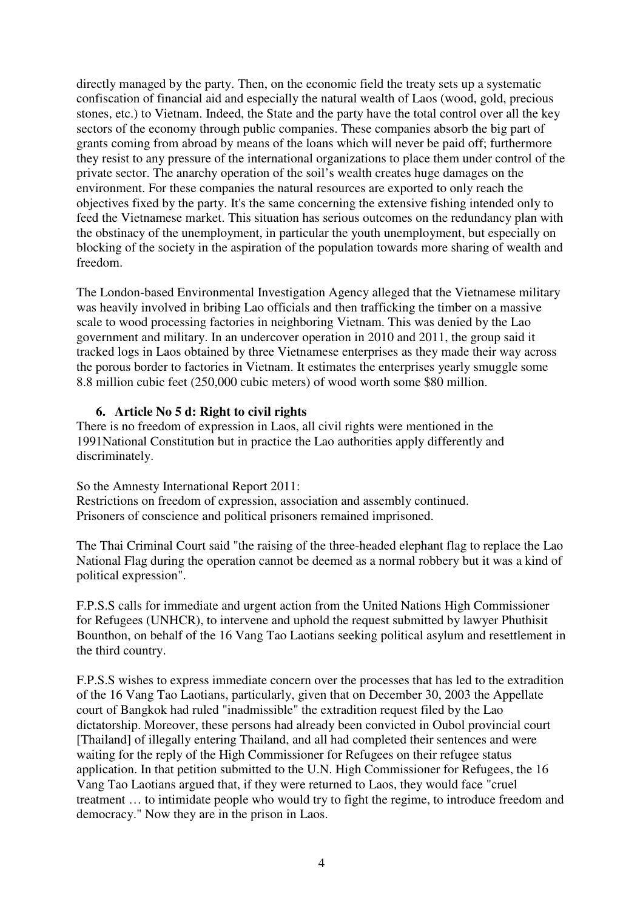directly managed by the party. Then, on the economic field the treaty sets up a systematic confiscation of financial aid and especially the natural wealth of Laos (wood, gold, precious stones, etc.) to Vietnam. Indeed, the State and the party have the total control over all the key sectors of the economy through public companies. These companies absorb the big part of grants coming from abroad by means of the loans which will never be paid off; furthermore they resist to any pressure of the international organizations to place them under control of the private sector. The anarchy operation of the soil's wealth creates huge damages on the environment. For these companies the natural resources are exported to only reach the objectives fixed by the party. It's the same concerning the extensive fishing intended only to feed the Vietnamese market. This situation has serious outcomes on the redundancy plan with the obstinacy of the unemployment, in particular the youth unemployment, but especially on blocking of the society in the aspiration of the population towards more sharing of wealth and freedom.

The London-based Environmental Investigation Agency alleged that the Vietnamese military was heavily involved in bribing Lao officials and then trafficking the timber on a massive scale to wood processing factories in neighboring Vietnam. This was denied by the Lao government and military. In an undercover operation in 2010 and 2011, the group said it tracked logs in Laos obtained by three Vietnamese enterprises as they made their way across the porous border to factories in Vietnam. It estimates the enterprises yearly smuggle some 8.8 million cubic feet (250,000 cubic meters) of wood worth some \$80 million.

#### **6. Article No 5 d: Right to civil rights**

There is no freedom of expression in Laos, all civil rights were mentioned in the 1991National Constitution but in practice the Lao authorities apply differently and discriminately.

So the Amnesty International Report 2011: Restrictions on freedom of expression, association and assembly continued. Prisoners of conscience and political prisoners remained imprisoned.

The Thai Criminal Court said "the raising of the three-headed elephant flag to replace the Lao National Flag during the operation cannot be deemed as a normal robbery but it was a kind of political expression".

F.P.S.S calls for immediate and urgent action from the United Nations High Commissioner for Refugees (UNHCR), to intervene and uphold the request submitted by lawyer Phuthisit Bounthon, on behalf of the 16 Vang Tao Laotians seeking political asylum and resettlement in the third country.

F.P.S.S wishes to express immediate concern over the processes that has led to the extradition of the 16 Vang Tao Laotians, particularly, given that on December 30, 2003 the Appellate court of Bangkok had ruled "inadmissible" the extradition request filed by the Lao dictatorship. Moreover, these persons had already been convicted in Oubol provincial court [Thailand] of illegally entering Thailand, and all had completed their sentences and were waiting for the reply of the High Commissioner for Refugees on their refugee status application. In that petition submitted to the U.N. High Commissioner for Refugees, the 16 Vang Tao Laotians argued that, if they were returned to Laos, they would face "cruel treatment … to intimidate people who would try to fight the regime, to introduce freedom and democracy." Now they are in the prison in Laos.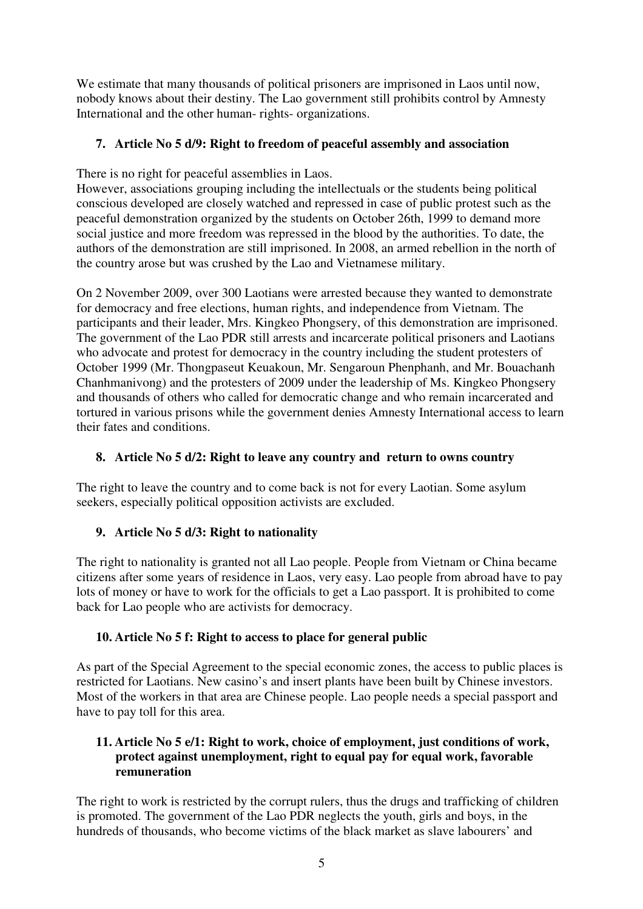We estimate that many thousands of political prisoners are imprisoned in Laos until now, nobody knows about their destiny. The Lao government still prohibits control by Amnesty International and the other human- rights- organizations.

# **7. Article No 5 d/9: Right to freedom of peaceful assembly and association**

There is no right for peaceful assemblies in Laos.

However, associations grouping including the intellectuals or the students being political conscious developed are closely watched and repressed in case of public protest such as the peaceful demonstration organized by the students on October 26th, 1999 to demand more social justice and more freedom was repressed in the blood by the authorities. To date, the authors of the demonstration are still imprisoned. In 2008, an armed rebellion in the north of the country arose but was crushed by the Lao and Vietnamese military.

On 2 November 2009, over 300 Laotians were arrested because they wanted to demonstrate for democracy and free elections, human rights, and independence from Vietnam. The participants and their leader, Mrs. Kingkeo Phongsery, of this demonstration are imprisoned. The government of the Lao PDR still arrests and incarcerate political prisoners and Laotians who advocate and protest for democracy in the country including the student protesters of October 1999 (Mr. Thongpaseut Keuakoun, Mr. Sengaroun Phenphanh, and Mr. Bouachanh Chanhmanivong) and the protesters of 2009 under the leadership of Ms. Kingkeo Phongsery and thousands of others who called for democratic change and who remain incarcerated and tortured in various prisons while the government denies Amnesty International access to learn their fates and conditions.

# **8. Article No 5 d/2: Right to leave any country and return to owns country**

The right to leave the country and to come back is not for every Laotian. Some asylum seekers, especially political opposition activists are excluded.

## **9. Article No 5 d/3: Right to nationality**

The right to nationality is granted not all Lao people. People from Vietnam or China became citizens after some years of residence in Laos, very easy. Lao people from abroad have to pay lots of money or have to work for the officials to get a Lao passport. It is prohibited to come back for Lao people who are activists for democracy.

## **10. Article No 5 f: Right to access to place for general public**

As part of the Special Agreement to the special economic zones, the access to public places is restricted for Laotians. New casino's and insert plants have been built by Chinese investors. Most of the workers in that area are Chinese people. Lao people needs a special passport and have to pay toll for this area.

# **11. Article No 5 e/1: Right to work, choice of employment, just conditions of work, protect against unemployment, right to equal pay for equal work, favorable remuneration**

The right to work is restricted by the corrupt rulers, thus the drugs and trafficking of children is promoted. The government of the Lao PDR neglects the youth, girls and boys, in the hundreds of thousands, who become victims of the black market as slave labourers' and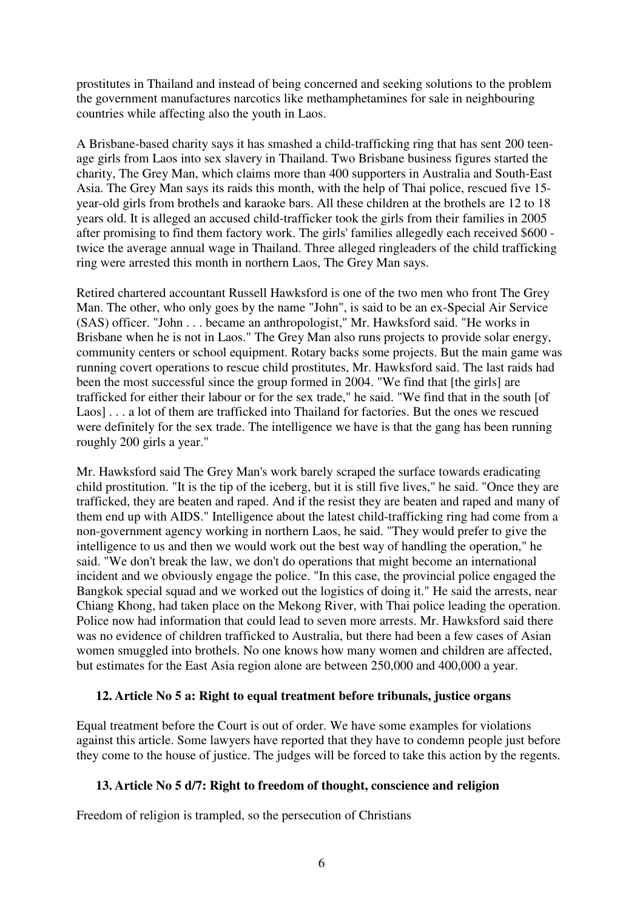prostitutes in Thailand and instead of being concerned and seeking solutions to the problem the government manufactures narcotics like methamphetamines for sale in neighbouring countries while affecting also the youth in Laos.

A Brisbane-based charity says it has smashed a child-trafficking ring that has sent 200 teenage girls from Laos into sex slavery in Thailand. Two Brisbane business figures started the charity, The Grey Man, which claims more than 400 supporters in Australia and South-East Asia. The Grey Man says its raids this month, with the help of Thai police, rescued five 15 year-old girls from brothels and karaoke bars. All these children at the brothels are 12 to 18 years old. It is alleged an accused child-trafficker took the girls from their families in 2005 after promising to find them factory work. The girls' families allegedly each received \$600 twice the average annual wage in Thailand. Three alleged ringleaders of the child trafficking ring were arrested this month in northern Laos, The Grey Man says.

Retired chartered accountant Russell Hawksford is one of the two men who front The Grey Man. The other, who only goes by the name "John", is said to be an ex-Special Air Service (SAS) officer. "John . . . became an anthropologist," Mr. Hawksford said. "He works in Brisbane when he is not in Laos." The Grey Man also runs projects to provide solar energy, community centers or school equipment. Rotary backs some projects. But the main game was running covert operations to rescue child prostitutes, Mr. Hawksford said. The last raids had been the most successful since the group formed in 2004. "We find that [the girls] are trafficked for either their labour or for the sex trade," he said. "We find that in the south [of Laos] . . . a lot of them are trafficked into Thailand for factories. But the ones we rescued were definitely for the sex trade. The intelligence we have is that the gang has been running roughly 200 girls a year."

Mr. Hawksford said The Grey Man's work barely scraped the surface towards eradicating child prostitution. "It is the tip of the iceberg, but it is still five lives," he said. "Once they are trafficked, they are beaten and raped. And if the resist they are beaten and raped and many of them end up with AIDS." Intelligence about the latest child-trafficking ring had come from a non-government agency working in northern Laos, he said. "They would prefer to give the intelligence to us and then we would work out the best way of handling the operation," he said. "We don't break the law, we don't do operations that might become an international incident and we obviously engage the police. "In this case, the provincial police engaged the Bangkok special squad and we worked out the logistics of doing it." He said the arrests, near Chiang Khong, had taken place on the Mekong River, with Thai police leading the operation. Police now had information that could lead to seven more arrests. Mr. Hawksford said there was no evidence of children trafficked to Australia, but there had been a few cases of Asian women smuggled into brothels. No one knows how many women and children are affected, but estimates for the East Asia region alone are between 250,000 and 400,000 a year.

#### **12. Article No 5 a: Right to equal treatment before tribunals, justice organs**

Equal treatment before the Court is out of order. We have some examples for violations against this article. Some lawyers have reported that they have to condemn people just before they come to the house of justice. The judges will be forced to take this action by the regents.

## **13. Article No 5 d/7: Right to freedom of thought, conscience and religion**

Freedom of religion is trampled, so the persecution of Christians